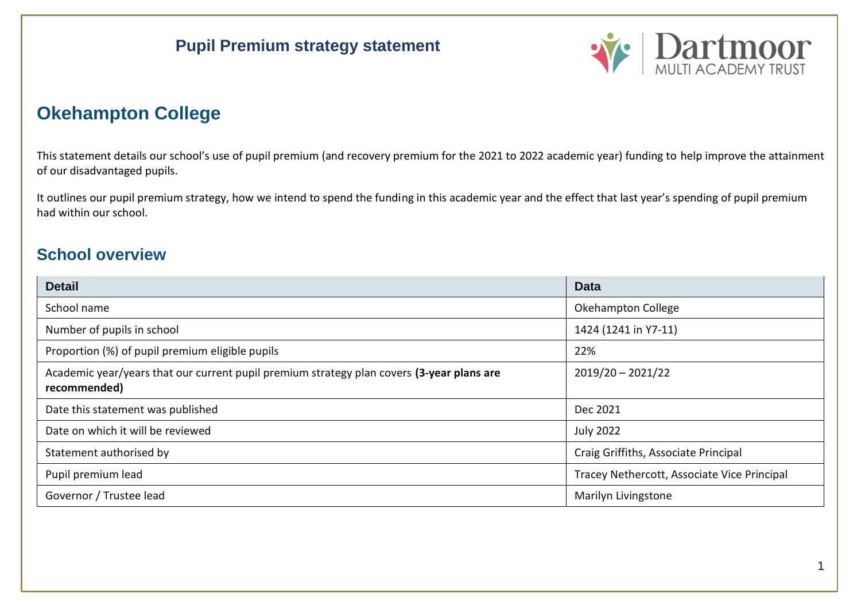

# **Okehampton College**

This statement details our school's use of pupil premium (and recovery premium for the 2021 to 2022 academic year) funding to help improve the attainment of our disadvantaged pupils.

It outlines our pupil premium strategy, how we intend to spend the funding in this academic year and the effect that last year's spending of pupil premium had within our school.

### **School overview**

| <b>Detail</b>                                                                                             | <b>Data</b>                                 |
|-----------------------------------------------------------------------------------------------------------|---------------------------------------------|
| School name                                                                                               | Okehampton College                          |
| Number of pupils in school                                                                                | 1424 (1241 in Y7-11)                        |
| Proportion (%) of pupil premium eligible pupils                                                           | 22%                                         |
| Academic year/years that our current pupil premium strategy plan covers (3-year plans are<br>recommended) | $2019/20 - 2021/22$                         |
| Date this statement was published                                                                         | Dec 2021                                    |
| Date on which it will be reviewed                                                                         | <b>July 2022</b>                            |
| Statement authorised by                                                                                   | Craig Griffiths, Associate Principal        |
| Pupil premium lead                                                                                        | Tracey Nethercott, Associate Vice Principal |
| Governor / Trustee lead                                                                                   | Marilyn Livingstone                         |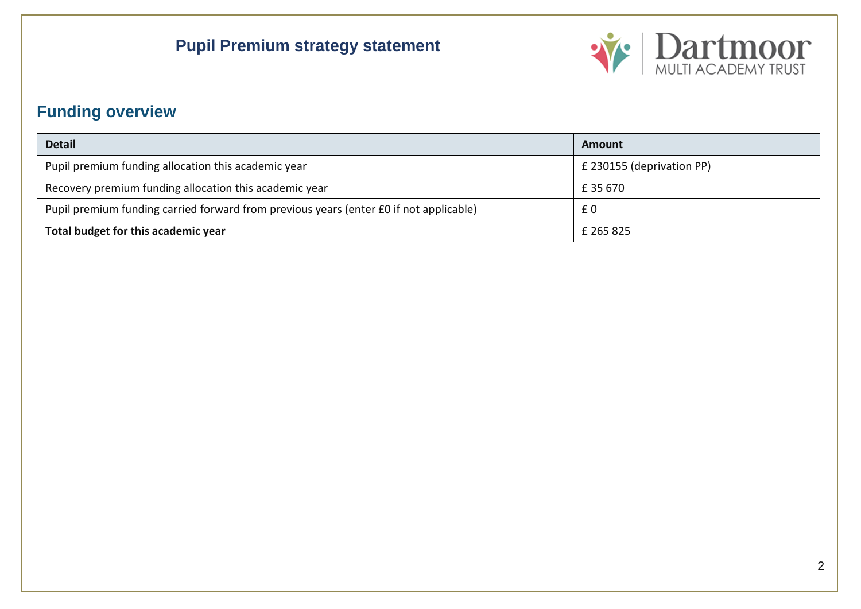

# **Funding overview**

| <b>Detail</b>                                                                          | Amount                    |
|----------------------------------------------------------------------------------------|---------------------------|
| Pupil premium funding allocation this academic year                                    | £ 230155 (deprivation PP) |
| Recovery premium funding allocation this academic year                                 | £35670                    |
| Pupil premium funding carried forward from previous years (enter £0 if not applicable) | £0                        |
| Total budget for this academic year                                                    | £ 265 825                 |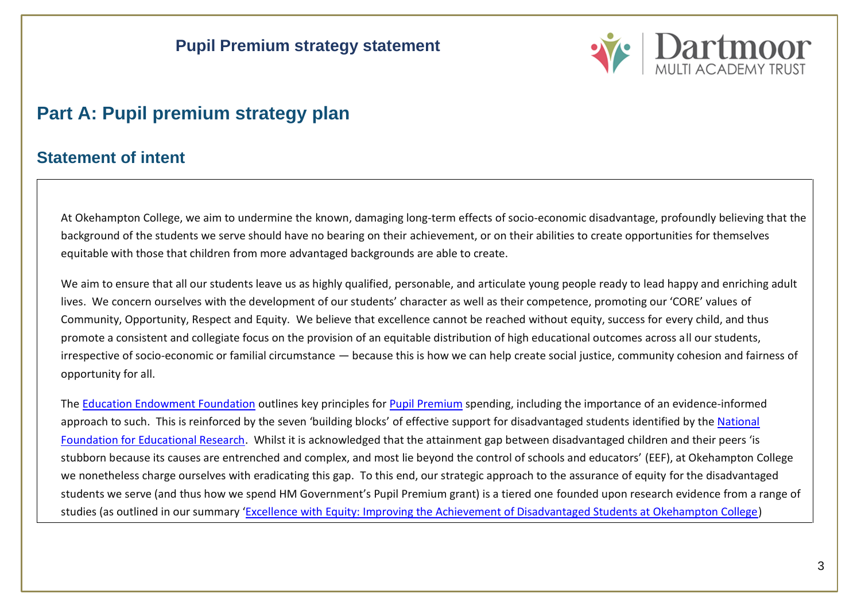

# **Part A: Pupil premium strategy plan**

#### **Statement of intent**

At Okehampton College, we aim to undermine the known, damaging long-term effects of socio-economic disadvantage, profoundly believing that the background of the students we serve should have no bearing on their achievement, or on their abilities to create opportunities for themselves equitable with those that children from more advantaged backgrounds are able to create.

We aim to ensure that all our students leave us as highly qualified, personable, and articulate young people ready to lead happy and enriching adult lives. We concern ourselves with the development of our students' character as well as their competence, promoting our 'CORE' values of Community, Opportunity, Respect and Equity. We believe that excellence cannot be reached without equity, success for every child, and thus promote a consistent and collegiate focus on the provision of an equitable distribution of high educational outcomes across all our students, irrespective of socio-economic or familial circumstance — because this is how we can help create social justice, community cohesion and fairness of opportunity for all.

The [Education Endowment Foundation](https://educationendowmentfoundation.org.uk/public/files/Publications/Pupil_Premium_Guidance.pdf) outlines key principles for [Pupil Premium](https://www.gov.uk/government/publications/pupil-premium/pupil-premium) spending, including the importance of an evidence-informed approach to such. This is reinforced by the seven 'building blocks' of effective support for disadvantaged students identified by the National [Foundation for Educational Research.](https://www.gov.uk/government/publications/supporting-the-attainment-of-disadvantaged-pupils) Whilst it is acknowledged that the attainment gap between disadvantaged children and their peers 'is stubborn because its causes are entrenched and complex, and most lie beyond the control of schools and educators' (EEF), at Okehampton College we nonetheless charge ourselves with eradicating this gap. To this end, our strategic approach to the assurance of equity for the disadvantaged students we serve (and thus how we spend HM Government's Pupil Premium grant) is a tiered one founded upon research evidence from a range of studies (as outlined in our summary '[Excellence with Equity: Improving the Achievement of Disadvantaged Students at Okehampton College\)](bookmark://Summary/)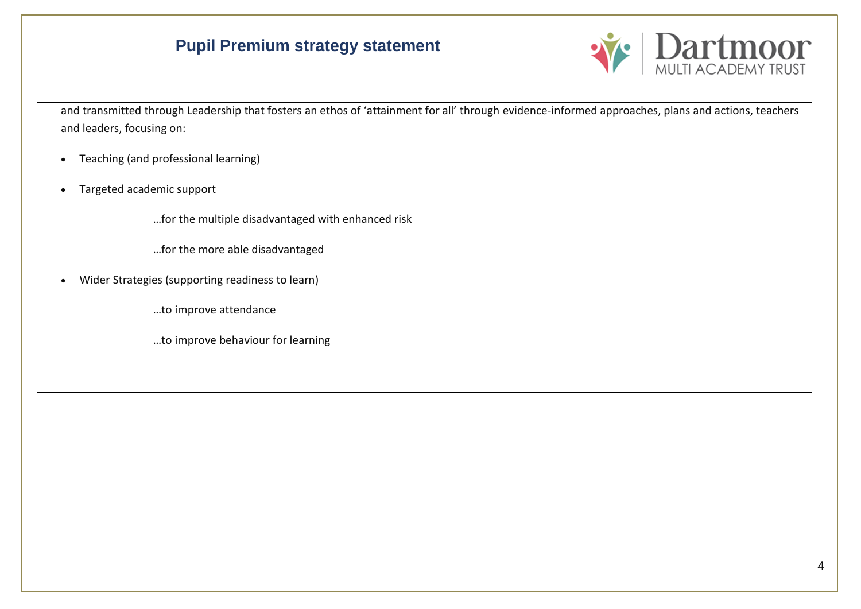

and transmitted through Leadership that fosters an ethos of 'attainment for all' through evidence-informed approaches, plans and actions, teachers and leaders, focusing on:

- Teaching (and professional learning)
- Targeted academic support

…for the multiple disadvantaged with enhanced risk

…for the more able disadvantaged

• Wider Strategies (supporting readiness to learn)

…to improve attendance

…to improve behaviour for learning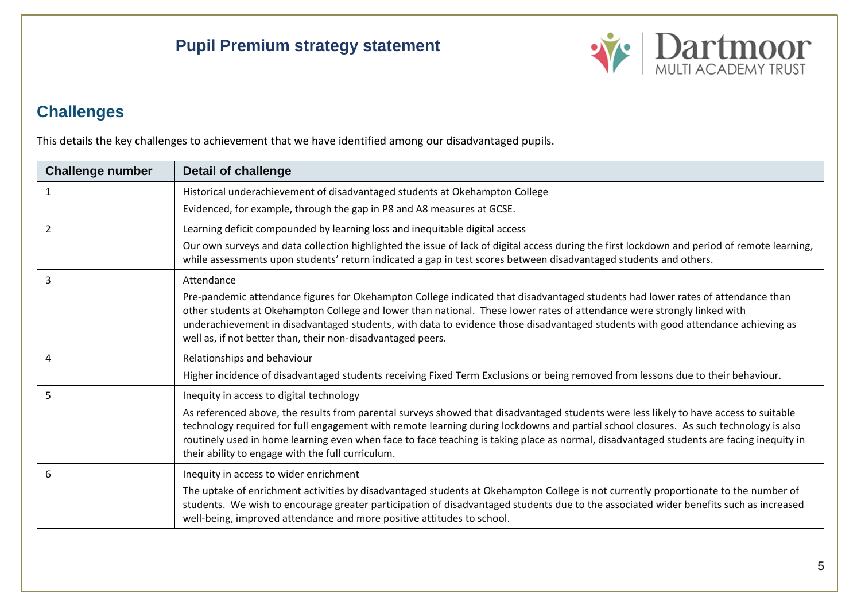

## **Challenges**

This details the key challenges to achievement that we have identified among our disadvantaged pupils.

| <b>Challenge number</b> | <b>Detail of challenge</b>                                                                                                                                                                                                                                                                                                                                                                                                                                                      |
|-------------------------|---------------------------------------------------------------------------------------------------------------------------------------------------------------------------------------------------------------------------------------------------------------------------------------------------------------------------------------------------------------------------------------------------------------------------------------------------------------------------------|
| 1                       | Historical underachievement of disadvantaged students at Okehampton College                                                                                                                                                                                                                                                                                                                                                                                                     |
|                         | Evidenced, for example, through the gap in P8 and A8 measures at GCSE.                                                                                                                                                                                                                                                                                                                                                                                                          |
| 2                       | Learning deficit compounded by learning loss and inequitable digital access                                                                                                                                                                                                                                                                                                                                                                                                     |
|                         | Our own surveys and data collection highlighted the issue of lack of digital access during the first lockdown and period of remote learning,<br>while assessments upon students' return indicated a gap in test scores between disadvantaged students and others.                                                                                                                                                                                                               |
| 3                       | Attendance                                                                                                                                                                                                                                                                                                                                                                                                                                                                      |
|                         | Pre-pandemic attendance figures for Okehampton College indicated that disadvantaged students had lower rates of attendance than<br>other students at Okehampton College and lower than national. These lower rates of attendance were strongly linked with<br>underachievement in disadvantaged students, with data to evidence those disadvantaged students with good attendance achieving as<br>well as, if not better than, their non-disadvantaged peers.                   |
| 4                       | Relationships and behaviour                                                                                                                                                                                                                                                                                                                                                                                                                                                     |
|                         | Higher incidence of disadvantaged students receiving Fixed Term Exclusions or being removed from lessons due to their behaviour.                                                                                                                                                                                                                                                                                                                                                |
| 5                       | Inequity in access to digital technology                                                                                                                                                                                                                                                                                                                                                                                                                                        |
|                         | As referenced above, the results from parental surveys showed that disadvantaged students were less likely to have access to suitable<br>technology required for full engagement with remote learning during lockdowns and partial school closures. As such technology is also<br>routinely used in home learning even when face to face teaching is taking place as normal, disadvantaged students are facing inequity in<br>their ability to engage with the full curriculum. |
| 6                       | Inequity in access to wider enrichment                                                                                                                                                                                                                                                                                                                                                                                                                                          |
|                         | The uptake of enrichment activities by disadvantaged students at Okehampton College is not currently proportionate to the number of<br>students. We wish to encourage greater participation of disadvantaged students due to the associated wider benefits such as increased<br>well-being, improved attendance and more positive attitudes to school.                                                                                                                          |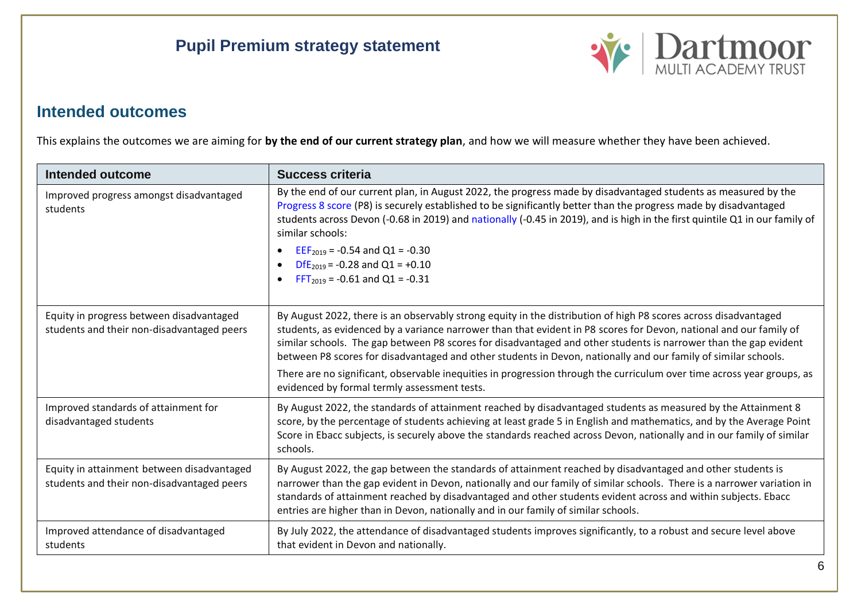

### **Intended outcomes**

This explains the outcomes we are aiming for **by the end of our current strategy plan**, and how we will measure whether they have been achieved.

| Intended outcome                                                                         | <b>Success criteria</b>                                                                                                                                                                                                                                                                                                                                                                                                                                                                                                                                                                                                                               |
|------------------------------------------------------------------------------------------|-------------------------------------------------------------------------------------------------------------------------------------------------------------------------------------------------------------------------------------------------------------------------------------------------------------------------------------------------------------------------------------------------------------------------------------------------------------------------------------------------------------------------------------------------------------------------------------------------------------------------------------------------------|
| Improved progress amongst disadvantaged<br>students                                      | By the end of our current plan, in August 2022, the progress made by disadvantaged students as measured by the<br>Progress 8 score (P8) is securely established to be significantly better than the progress made by disadvantaged<br>students across Devon (-0.68 in 2019) and nationally (-0.45 in 2019), and is high in the first quintile Q1 in our family of<br>similar schools:<br>$EEF2019 = -0.54$ and Q1 = -0.30<br>DfE <sub>2019</sub> = -0.28 and Q1 = +0.10<br>$FFT_{2019} = -0.61$ and Q1 = -0.31                                                                                                                                        |
| Equity in progress between disadvantaged<br>students and their non-disadvantaged peers   | By August 2022, there is an observably strong equity in the distribution of high P8 scores across disadvantaged<br>students, as evidenced by a variance narrower than that evident in P8 scores for Devon, national and our family of<br>similar schools. The gap between P8 scores for disadvantaged and other students is narrower than the gap evident<br>between P8 scores for disadvantaged and other students in Devon, nationally and our family of similar schools.<br>There are no significant, observable inequities in progression through the curriculum over time across year groups, as<br>evidenced by formal termly assessment tests. |
| Improved standards of attainment for<br>disadvantaged students                           | By August 2022, the standards of attainment reached by disadvantaged students as measured by the Attainment 8<br>score, by the percentage of students achieving at least grade 5 in English and mathematics, and by the Average Point<br>Score in Ebacc subjects, is securely above the standards reached across Devon, nationally and in our family of similar<br>schools.                                                                                                                                                                                                                                                                           |
| Equity in attainment between disadvantaged<br>students and their non-disadvantaged peers | By August 2022, the gap between the standards of attainment reached by disadvantaged and other students is<br>narrower than the gap evident in Devon, nationally and our family of similar schools. There is a narrower variation in<br>standards of attainment reached by disadvantaged and other students evident across and within subjects. Ebacc<br>entries are higher than in Devon, nationally and in our family of similar schools.                                                                                                                                                                                                           |
| Improved attendance of disadvantaged<br>students                                         | By July 2022, the attendance of disadvantaged students improves significantly, to a robust and secure level above<br>that evident in Devon and nationally.                                                                                                                                                                                                                                                                                                                                                                                                                                                                                            |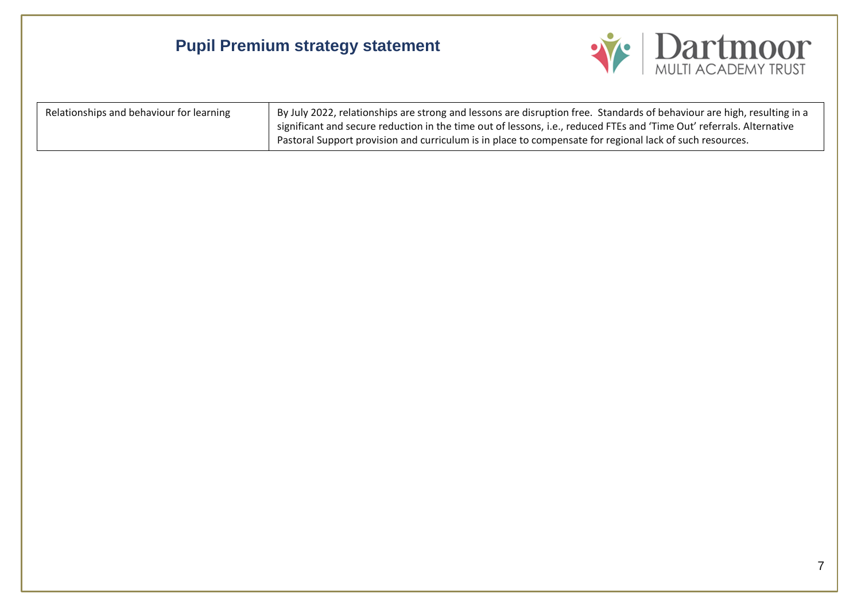

| Relationships and behaviour for learning | By July 2022, relationships are strong and lessons are disruption free. Standards of behaviour are high, resulting in a |
|------------------------------------------|-------------------------------------------------------------------------------------------------------------------------|
|                                          | significant and secure reduction in the time out of lessons, i.e., reduced FTEs and 'Time Out' referrals. Alternative   |
|                                          | Pastoral Support provision and curriculum is in place to compensate for regional lack of such resources.                |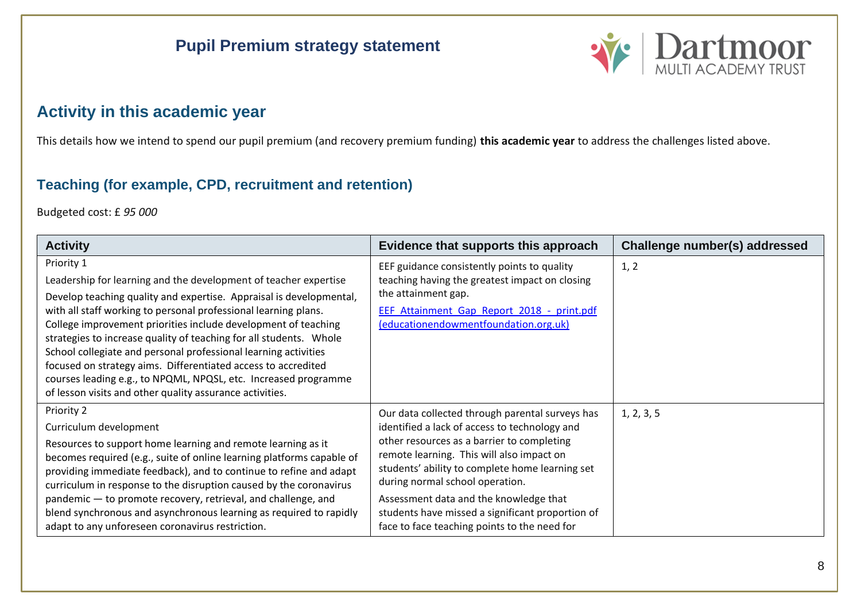

### **Activity in this academic year**

This details how we intend to spend our pupil premium (and recovery premium funding) **this academic year** to address the challenges listed above.

### **Teaching (for example, CPD, recruitment and retention)**

Budgeted cost: £ *95 000*

| <b>Activity</b>                                                                                                                                                                                                                                                                                                                                                                                                                                                                                                                                                                                                                     | Evidence that supports this approach                                                                                                                                                                                                                                                                                                                                                                                            | Challenge number(s) addressed |
|-------------------------------------------------------------------------------------------------------------------------------------------------------------------------------------------------------------------------------------------------------------------------------------------------------------------------------------------------------------------------------------------------------------------------------------------------------------------------------------------------------------------------------------------------------------------------------------------------------------------------------------|---------------------------------------------------------------------------------------------------------------------------------------------------------------------------------------------------------------------------------------------------------------------------------------------------------------------------------------------------------------------------------------------------------------------------------|-------------------------------|
| Priority 1<br>Leadership for learning and the development of teacher expertise<br>Develop teaching quality and expertise. Appraisal is developmental,<br>with all staff working to personal professional learning plans.<br>College improvement priorities include development of teaching<br>strategies to increase quality of teaching for all students. Whole<br>School collegiate and personal professional learning activities<br>focused on strategy aims. Differentiated access to accredited<br>courses leading e.g., to NPQML, NPQSL, etc. Increased programme<br>of lesson visits and other quality assurance activities. | EEF guidance consistently points to quality<br>teaching having the greatest impact on closing<br>the attainment gap.<br>EEF Attainment Gap Report 2018 - print.pdf<br>(educationendowmentfoundation.org.uk)                                                                                                                                                                                                                     | 1, 2                          |
| Priority 2<br>Curriculum development<br>Resources to support home learning and remote learning as it<br>becomes required (e.g., suite of online learning platforms capable of<br>providing immediate feedback), and to continue to refine and adapt<br>curriculum in response to the disruption caused by the coronavirus<br>pandemic - to promote recovery, retrieval, and challenge, and<br>blend synchronous and asynchronous learning as required to rapidly<br>adapt to any unforeseen coronavirus restriction.                                                                                                                | Our data collected through parental surveys has<br>identified a lack of access to technology and<br>other resources as a barrier to completing<br>remote learning. This will also impact on<br>students' ability to complete home learning set<br>during normal school operation.<br>Assessment data and the knowledge that<br>students have missed a significant proportion of<br>face to face teaching points to the need for | 1, 2, 3, 5                    |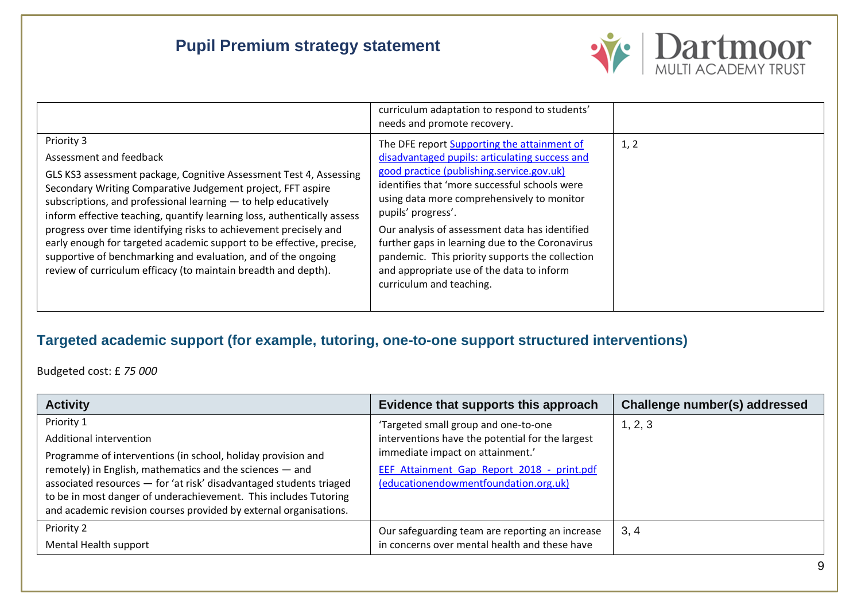

|                                                                                                                                                                                                                                                                                                                                                                                                                                                                                                                                                                  | curriculum adaptation to respond to students'<br>needs and promote recovery.                                                                                                                                                                                                                                                                                                                    |      |
|------------------------------------------------------------------------------------------------------------------------------------------------------------------------------------------------------------------------------------------------------------------------------------------------------------------------------------------------------------------------------------------------------------------------------------------------------------------------------------------------------------------------------------------------------------------|-------------------------------------------------------------------------------------------------------------------------------------------------------------------------------------------------------------------------------------------------------------------------------------------------------------------------------------------------------------------------------------------------|------|
| Priority 3                                                                                                                                                                                                                                                                                                                                                                                                                                                                                                                                                       | The DFE report Supporting the attainment of                                                                                                                                                                                                                                                                                                                                                     | 1, 2 |
| Assessment and feedback                                                                                                                                                                                                                                                                                                                                                                                                                                                                                                                                          | disadvantaged pupils: articulating success and                                                                                                                                                                                                                                                                                                                                                  |      |
| GLS KS3 assessment package, Cognitive Assessment Test 4, Assessing<br>Secondary Writing Comparative Judgement project, FFT aspire<br>subscriptions, and professional learning $-$ to help educatively<br>inform effective teaching, quantify learning loss, authentically assess<br>progress over time identifying risks to achievement precisely and<br>early enough for targeted academic support to be effective, precise,<br>supportive of benchmarking and evaluation, and of the ongoing<br>review of curriculum efficacy (to maintain breadth and depth). | good practice (publishing.service.gov.uk)<br>identifies that 'more successful schools were<br>using data more comprehensively to monitor<br>pupils' progress'.<br>Our analysis of assessment data has identified<br>further gaps in learning due to the Coronavirus<br>pandemic. This priority supports the collection<br>and appropriate use of the data to inform<br>curriculum and teaching. |      |

#### **Targeted academic support (for example, tutoring, one-to-one support structured interventions)**

Budgeted cost: £ *75 000*

| <b>Activity</b>                                                                                                                                                                                                                                                                                                                                                                   | Evidence that supports this approach                                                                                                                                                                                | Challenge number(s) addressed |
|-----------------------------------------------------------------------------------------------------------------------------------------------------------------------------------------------------------------------------------------------------------------------------------------------------------------------------------------------------------------------------------|---------------------------------------------------------------------------------------------------------------------------------------------------------------------------------------------------------------------|-------------------------------|
| Priority 1<br>Additional intervention<br>Programme of interventions (in school, holiday provision and<br>remotely) in English, mathematics and the sciences - and<br>associated resources - for 'at risk' disadvantaged students triaged<br>to be in most danger of underachievement. This includes Tutoring<br>and academic revision courses provided by external organisations. | 'Targeted small group and one-to-one<br>interventions have the potential for the largest<br>immediate impact on attainment.'<br>EEF Attainment Gap Report 2018 - print.pdf<br>(educationendowmentfoundation.org.uk) | 1, 2, 3                       |
| Priority 2<br>Mental Health support                                                                                                                                                                                                                                                                                                                                               | Our safeguarding team are reporting an increase<br>in concerns over mental health and these have                                                                                                                    | 3, 4                          |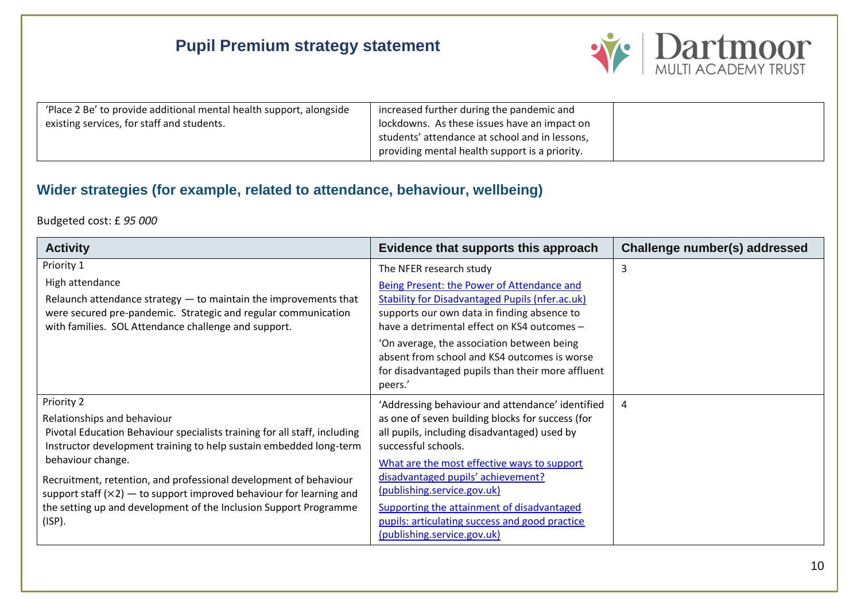

| 'Place 2 Be' to provide additional mental health support, alongside | increased further during the pandemic and      |  |
|---------------------------------------------------------------------|------------------------------------------------|--|
| existing services, for staff and students.                          | lockdowns. As these issues have an impact on   |  |
|                                                                     | students' attendance at school and in lessons, |  |
|                                                                     | providing mental health support is a priority. |  |

### **Wider strategies (for example, related to attendance, behaviour, wellbeing)**

#### Budgeted cost: £ *95 000*

| <b>Activity</b>                                                                                                                                                                                                                                                                                                                                                                                                                                | Evidence that supports this approach                                                                                                                                                                                                                                                                                                                                                                                           | Challenge number(s) addressed |
|------------------------------------------------------------------------------------------------------------------------------------------------------------------------------------------------------------------------------------------------------------------------------------------------------------------------------------------------------------------------------------------------------------------------------------------------|--------------------------------------------------------------------------------------------------------------------------------------------------------------------------------------------------------------------------------------------------------------------------------------------------------------------------------------------------------------------------------------------------------------------------------|-------------------------------|
| Priority 1<br>High attendance<br>Relaunch attendance strategy $-$ to maintain the improvements that<br>were secured pre-pandemic. Strategic and regular communication<br>with families. SOL Attendance challenge and support.                                                                                                                                                                                                                  | The NFER research study<br>Being Present: the Power of Attendance and<br><b>Stability for Disadvantaged Pupils (nfer.ac.uk)</b><br>supports our own data in finding absence to<br>have a detrimental effect on KS4 outcomes -<br>'On average, the association between being<br>absent from school and KS4 outcomes is worse<br>for disadvantaged pupils than their more affluent<br>peers.'                                    | 3                             |
| Priority 2<br>Relationships and behaviour<br>Pivotal Education Behaviour specialists training for all staff, including<br>Instructor development training to help sustain embedded long-term<br>behaviour change.<br>Recruitment, retention, and professional development of behaviour<br>support staff $(x2)$ — to support improved behaviour for learning and<br>the setting up and development of the Inclusion Support Programme<br>(ISP). | 'Addressing behaviour and attendance' identified<br>as one of seven building blocks for success (for<br>all pupils, including disadvantaged) used by<br>successful schools.<br>What are the most effective ways to support<br>disadvantaged pupils' achievement?<br>(publishing.service.gov.uk)<br>Supporting the attainment of disadvantaged<br>pupils: articulating success and good practice<br>(publishing.service.gov.uk) | 4                             |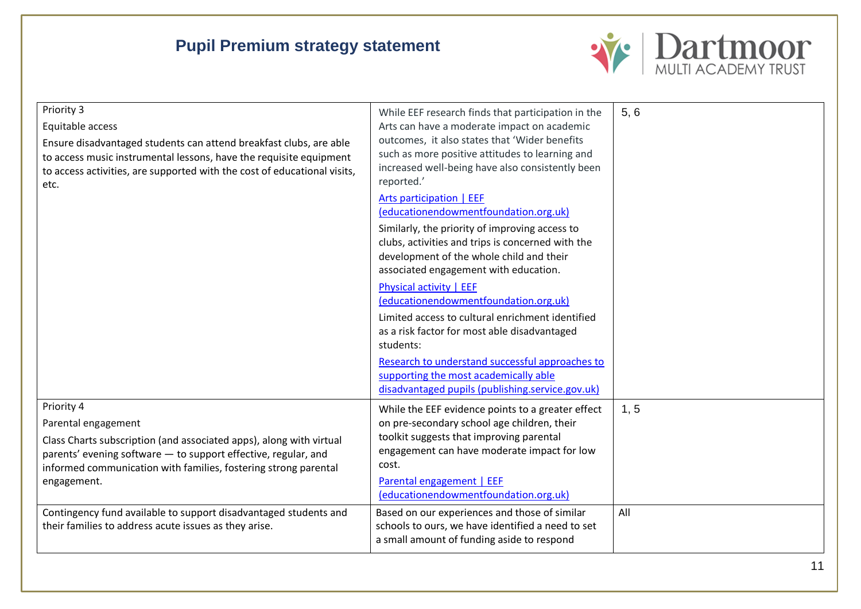

| Priority 3<br>Equitable access<br>Ensure disadvantaged students can attend breakfast clubs, are able<br>to access music instrumental lessons, have the requisite equipment<br>to access activities, are supported with the cost of educational visits,<br>etc. | While EEF research finds that participation in the<br>Arts can have a moderate impact on academic<br>outcomes, it also states that 'Wider benefits<br>such as more positive attitudes to learning and<br>increased well-being have also consistently been<br>reported.'<br><b>Arts participation   EEF</b><br>(educationendowmentfoundation.org.uk)<br>Similarly, the priority of improving access to<br>clubs, activities and trips is concerned with the<br>development of the whole child and their<br>associated engagement with education.<br><b>Physical activity   EEF</b><br>(educationendowmentfoundation.org.uk)<br>Limited access to cultural enrichment identified<br>as a risk factor for most able disadvantaged<br>students:<br>Research to understand successful approaches to<br>supporting the most academically able<br>disadvantaged pupils (publishing.service.gov.uk) | 5, 6 |
|----------------------------------------------------------------------------------------------------------------------------------------------------------------------------------------------------------------------------------------------------------------|---------------------------------------------------------------------------------------------------------------------------------------------------------------------------------------------------------------------------------------------------------------------------------------------------------------------------------------------------------------------------------------------------------------------------------------------------------------------------------------------------------------------------------------------------------------------------------------------------------------------------------------------------------------------------------------------------------------------------------------------------------------------------------------------------------------------------------------------------------------------------------------------|------|
| Priority 4<br>Parental engagement<br>Class Charts subscription (and associated apps), along with virtual<br>parents' evening software - to support effective, regular, and<br>informed communication with families, fostering strong parental<br>engagement.   | While the EEF evidence points to a greater effect<br>on pre-secondary school age children, their<br>toolkit suggests that improving parental<br>engagement can have moderate impact for low<br>cost.<br>Parental engagement   EEF<br>(educationendowmentfoundation.org.uk)                                                                                                                                                                                                                                                                                                                                                                                                                                                                                                                                                                                                                  | 1, 5 |
| Contingency fund available to support disadvantaged students and<br>their families to address acute issues as they arise.                                                                                                                                      | Based on our experiences and those of similar<br>schools to ours, we have identified a need to set<br>a small amount of funding aside to respond                                                                                                                                                                                                                                                                                                                                                                                                                                                                                                                                                                                                                                                                                                                                            | All  |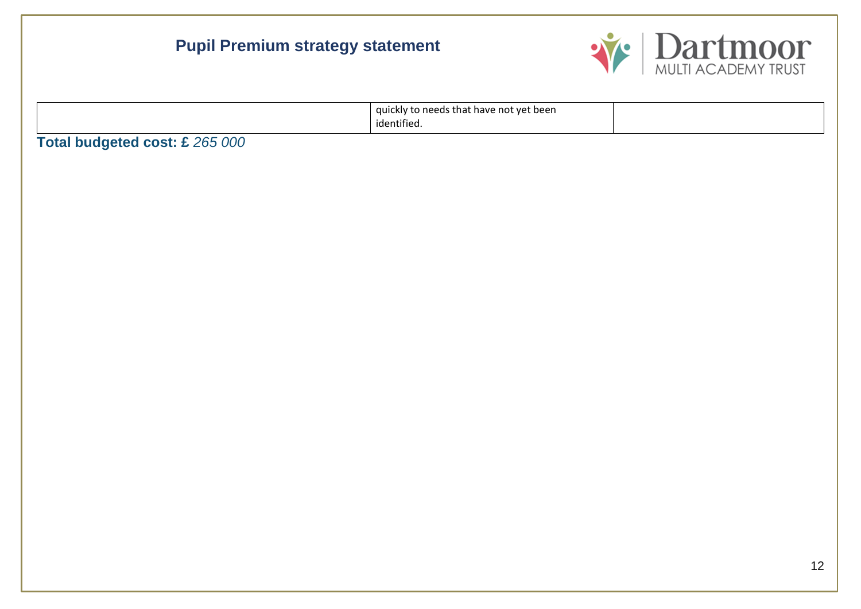

|                                | quickly to needs that have not yet been<br>identified. |  |
|--------------------------------|--------------------------------------------------------|--|
| Total budgeted cost: £ 265 000 |                                                        |  |
|                                |                                                        |  |
|                                |                                                        |  |
|                                |                                                        |  |
|                                |                                                        |  |
|                                |                                                        |  |
|                                |                                                        |  |
|                                |                                                        |  |
|                                |                                                        |  |
|                                |                                                        |  |
|                                |                                                        |  |
|                                |                                                        |  |
|                                |                                                        |  |
|                                |                                                        |  |
|                                |                                                        |  |
|                                |                                                        |  |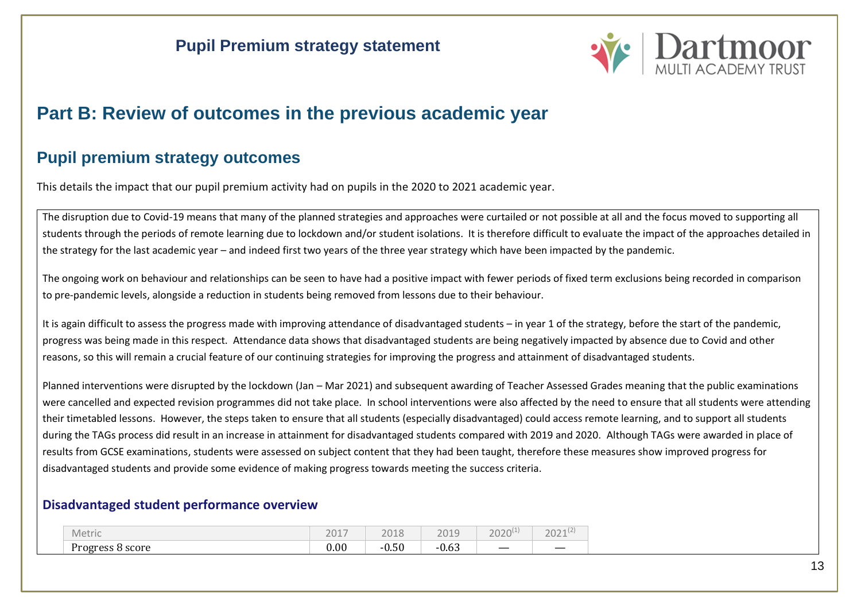

# **Part B: Review of outcomes in the previous academic year**

### **Pupil premium strategy outcomes**

This details the impact that our pupil premium activity had on pupils in the 2020 to 2021 academic year.

The disruption due to Covid-19 means that many of the planned strategies and approaches were curtailed or not possible at all and the focus moved to supporting all students through the periods of remote learning due to lockdown and/or student isolations. It is therefore difficult to evaluate the impact of the approaches detailed in the strategy for the last academic year – and indeed first two years of the three year strategy which have been impacted by the pandemic.

The ongoing work on behaviour and relationships can be seen to have had a positive impact with fewer periods of fixed term exclusions being recorded in comparison to pre-pandemic levels, alongside a reduction in students being removed from lessons due to their behaviour.

It is again difficult to assess the progress made with improving attendance of disadvantaged students – in year 1 of the strategy, before the start of the pandemic, progress was being made in this respect. Attendance data shows that disadvantaged students are being negatively impacted by absence due to Covid and other reasons, so this will remain a crucial feature of our continuing strategies for improving the progress and attainment of disadvantaged students.

Planned interventions were disrupted by the lockdown (Jan – Mar 2021) and subsequent awarding of Teacher Assessed Grades meaning that the public examinations were cancelled and expected revision programmes did not take place. In school interventions were also affected by the need to ensure that all students were attending their timetabled lessons. However, the steps taken to ensure that all students (especially disadvantaged) could access remote learning, and to support all students during the TAGs process did result in an increase in attainment for disadvantaged students compared with 2019 and 2020. Although TAGs were awarded in place of results from GCSE examinations, students were assessed on subject content that they had been taught, therefore these measures show improved progress for disadvantaged students and provide some evidence of making progress towards meeting the success criteria.

#### **Disadvantaged student performance overview**

| Metric                        | $\sim$ $\sim$<br>$\sim$ $-$<br>ີ<br>$-$ | 2010<br>டப  | 2010<br>ZUIJ                           | วกว | ากา<br>LULI |
|-------------------------------|-----------------------------------------|-------------|----------------------------------------|-----|-------------|
| $\sim$<br>Progress<br>8 score | 0.00                                    | ^ ^<br>υ.υυ | $\sim$ $\sim$<br>$\sim$<br>- 1<br>υ.υJ |     |             |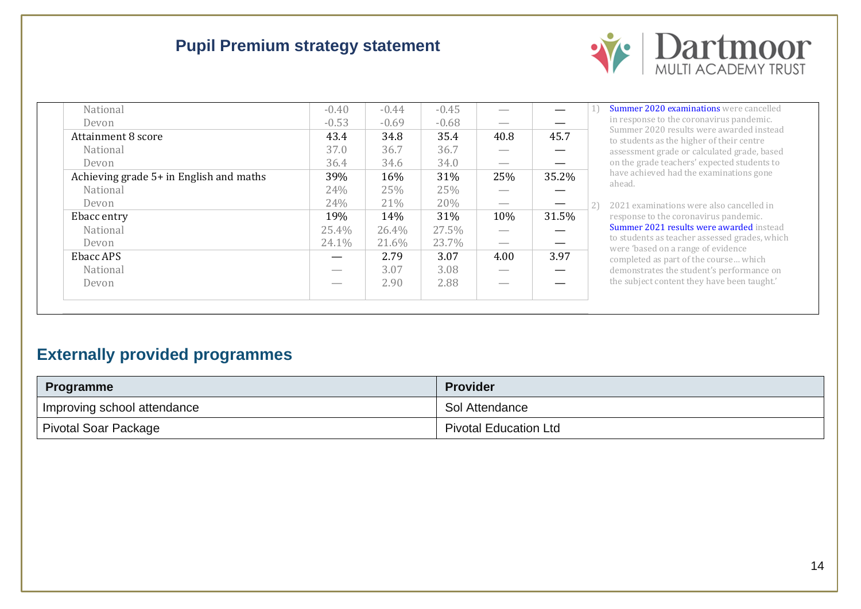

| National                                | $-0.40$ | $-0.44$ | $-0.45$ |      |       |
|-----------------------------------------|---------|---------|---------|------|-------|
| Devon                                   | $-0.53$ | $-0.69$ | $-0.68$ |      |       |
| Attainment 8 score                      | 43.4    | 34.8    | 35.4    | 40.8 | 45.7  |
| National                                | 37.0    | 36.7    | 36.7    |      |       |
| Devon                                   | 36.4    | 34.6    | 34.0    |      |       |
| Achieving grade 5+ in English and maths | 39%     | 16%     | 31%     | 25%  | 35.2% |
| National                                | 24%     | 25%     | 25%     |      |       |
| Devon                                   | 24%     | 21%     | 20%     |      |       |
| Ebacc entry                             | 19%     | 14%     | 31%     | 10%  | 31.5% |
| National                                | 25.4%   | 26.4%   | 27.5%   |      |       |
| Devon                                   | 24.1%   | 21.6%   | 23.7%   |      |       |
| Ebacc APS                               |         | 2.79    | 3.07    | 4.00 | 3.97  |
| National                                |         | 3.07    | 3.08    |      |       |
| Devon                                   |         | 2.90    | 2.88    |      |       |
|                                         |         |         |         |      |       |

1) [Summer 2020 examinations](https://ofqual.blog.gov.uk/2020/12/18/further-evaluation-of-summer-2020-awarding/) were cancelled in response to the coronavirus pandemic. Summer 2020 results were awarded instead to students as the higher of their centre assessment grade or calculated grade, based on the grade teachers' expected students to have achieved had the examinations gone ahead.

2) 2021 examinations were also cancelled in response to the coronavirus pandemic. [Summer 2021 results were](https://www.gov.uk/government/collections/gcse-as-and-a-level-qualifications-in-2021) awarded instead to students as teacher assessed grades, which were 'based on a range of evidence completed as part of the course… which demonstrates the student's performance on the subject content they have been taught.'

### **Externally provided programmes**

| <b>Programme</b>            | <b>Provider</b>              |
|-----------------------------|------------------------------|
| Improving school attendance | Sol Attendance               |
| Pivotal Soar Package        | <b>Pivotal Education Ltd</b> |